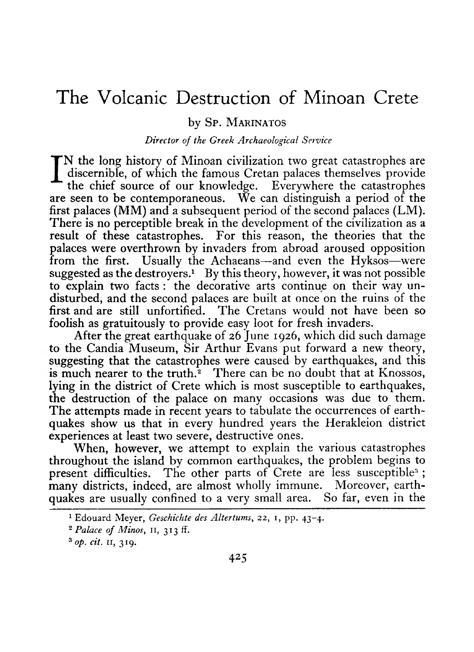# The Volcanic Destruction of Minoan Crete

#### **by** Sp. **M arinatos**

#### *Director of the Greek Archaeological Service*

IN the long history of Minoan civilization two great catastrophes are discernible, of which the famous Cretan palaces themselves provide the chief source of our knowledge. Everywhere the catastrophes discernible, of which the famous Cretan palaces themselves provide the chief source of our knowledge. Everywhere the catastrophes are seen to be contemporaneous. We can distinguish a period of the first palaces (MM) and a subsequent period of the second palaces (LM). There is no perceptible break in the development of the civilization as a result of these catastrophes. For this reason, the theories that the palaces were overthrown by invaders from abroad aroused opposition from the first. Usually the Achaeans— and even the Hyksos— were suggested as the destroyers.<sup>1</sup> By this theory, however, it was not possible to explain two facts : the decorative arts continue on their way undisturbed, and the second palaces are built at once on the ruins of the first and are still unfortified. The Cretans would not have been so foolish as gratuitously to provide easy loot for fresh invaders.

After the great earthquake of 26 June 1926, which did such damage to the Candia Museum, Sir Arthur Evans put forward a new theory, suggesting that the catastrophes were caused by earthquakes, and this is much nearer to the truth.<sup>2</sup> There can be no doubt that at Knossos, lying in the district of Crete which is most susceptible to earthquakes, the destruction of the palace on many occasions was due to them. The attempts made in recent years to tabulate the occurrences of earthquakes show us that in every hundred years the Herakleion district experiences at least two severe, destructive ones.

When, however, we attempt to explain the various catastrophes throughout the island by common earthquakes, the problem begins to present difficulties. The other parts of Crete are less susceptible<sup>3</sup>; many districts, indeed, are almost wholly immune. Moreover, earthquakes are usually confined to a very small area. So far, even in the

<sup>&</sup>lt;sup>1</sup> Edouard Meyer, *Geschichte des Altertums*, 22, 1, pp. 43-4.

<sup>2</sup> *Palace of Minos*, **II, 313 ff·**

<sup>3</sup> *op. cit.* π, 31g.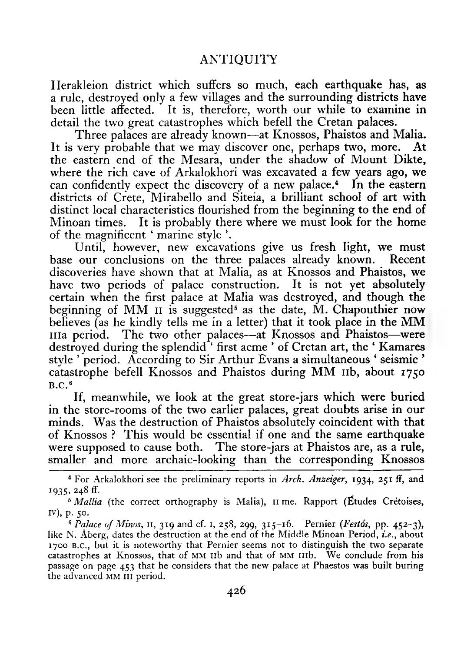Herakleion district which suffers so much, each earthquake has, as a rule, destroyed only a few villages and the surrounding districts have been little affected. It is, therefore, worth our while to examine in detail the two great catastrophes which befell the Cretan palaces.

Three palaces are already known— at Knossos, Phaistos and Malia. It is very probable that we may discover one, perhaps two, more. At the eastern end of the Mesara, under the shadow of Mount Dikte, where the rich cave of Arkalokhori was excavated a few years ago, we can confidently expect the discovery of a new palace.<sup>4</sup> In the eastern districts of Crete, Mirabello and Siteia, a brilliant school of art with distinct local characteristics flourished from the beginning to the end of Minoan times. It is probably there where we must look for the home of the magnificent 'marine style'.

Until, however, new excavations give us fresh light, we must base our conclusions on the three palaces already known. Recent discoveries have shown that at Malia, as at Knossos and Phaistos, we have two periods of palace construction. It is not yet absolutely certain when the first palace at Malia was destroyed, and though the beginning of MM  $\mu$  is suggested<sup>5</sup> as the date, M. Chapouthier now believes (as he kindly tells me in a letter) that it took place in the MM ma period. The two other palaces— at Knossos and Phaistos— were destroyed during the splendid ' first acme ' of Cretan art, the ' Kamares style ' period. According to Sir Arthur Evans a simultaneous ' seismic \* catastrophe befell Knossos and Phaistos during MM lib, about 1750 **B.C**.6

If, meanwhile, we look at the great store-jars which were buried in the store-rooms of the two earlier palaces, great doubts arise in our minds. Was the destruction of Phaistos absolutely coincident with that of Knossos ? This would be essential if one and the same earthquake were supposed to cause both. The store-jars at Phaistos are, as a rule, smaller and more archaic-looking than the corresponding Knossos

<sup>4</sup> For Arkalokhori see the preliminary reports in *Arch. Anzeiger*, 1934, 251 ff, and 1935, 248 ff.

<sup>&</sup>lt;sup>5</sup> *Mallia* (the correct orthography is Malia), II me. Rapport (Études Crétoises, iv), Ρ· 50.

<sup>6</sup> *Palace of Minos,* 11, 319 and cf. I, 258, 299, 315-16. Pernier (*Festos*, pp. 452-3), like N. Aberg, dates the destruction at the end of the Middle Minoan Period, *i.e.,* about 1700 b.c., but it is noteworthy that Pernier seems not to distinguish the two separate catastrophes at Knossos, that of MM IIb and that of MM IIIb. We conclude from his passage on page 453 that he considers that the new palace at Phaestos was built buring the advanced MM III period.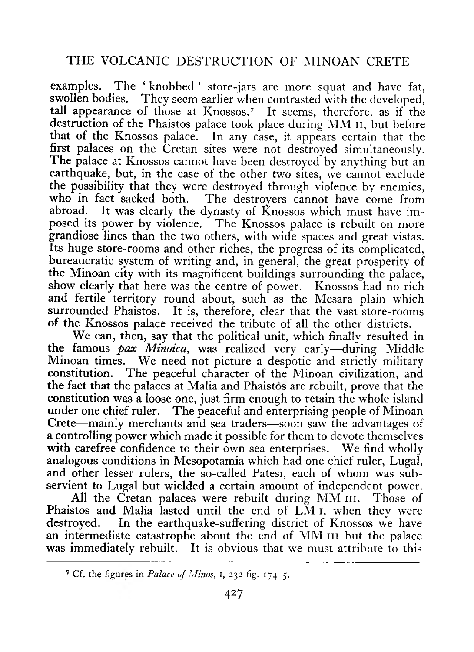examples. The ' knobbed ' store-jars are more squat and have fat, swollen bodies. They seem earlier when contrasted with the developed, tall appearance of those at Knossos.<sup>7</sup> It seems, therefore, as if the destruction of the Phaistos palace took place during MM II, but before that of the Knossos palace. In any case, it appears certain that the first palaces on the Cretan sites were not destroyed simultaneously. The palace at Knossos cannot have been destroyed by anything but an earthquake, but, in the case of the other two sites, we cannot exclude the possibility that they were destroyed through violence by enemies, who in fact sacked both. The destroyers cannot have come from abroad. It was clearly the dynasty of Knossos which must have imposed its power by violence. The Knossos palace is rebuilt on more grandiose lines than the two others, with wide spaces and great vistas. Its huge store-rooms and other riches, the progress of its complicated, bureaucratic system of writing and, in general, the great prosperity of the Minoan city with its magnificent buildings surrounding the palace, show clearly that here was the centre of power. Knossos had no rich and fertile territory round about, such as the Mesara plain which surrounded Phaistos. It is, therefore, clear that the vast store-rooms of the Knossos palace received the tribute of all the other districts.

We can, then, say that the political unit, which finally resulted in the famous *pax Minoica*, was realized very early— during Middle Minoan times. We need not picture a despotic and strictly military constitution. The peaceful character of the Minoan civilization, and the fact that the palaces at Malia and Phaistos are rebuilt, prove that the constitution was a loose one, just firm enough to retain the whole island under one chief ruler. The peaceful and enterprising people of Minoan Crete— mainly merchants and sea traders— soon saw the advantages of a controlling power which made it possible for them to devote themselves with carefree confidence to their own sea enterprises. We find wholly analogous conditions in Mesopotamia which had one chief ruler, Lugal, and other lesser rulers, the so-called Patesi, each of whom was subservient to Lugal but wielded a certain amount of independent power.

All the Cretan palaces were rebuilt during MM III. Those of Phaistos and Malia lasted until the end of LM **I,** when they were destroyed. In the earthquake-suffering district of Knossos we have an intermediate catastrophe about the end of MM  $\text{III}$  but the palace was immediately rebuilt. It is obvious that we must attribute to this

<sup>7</sup> Cf. the figures in *Palace of Minos,* I, 232 fig. 174-5.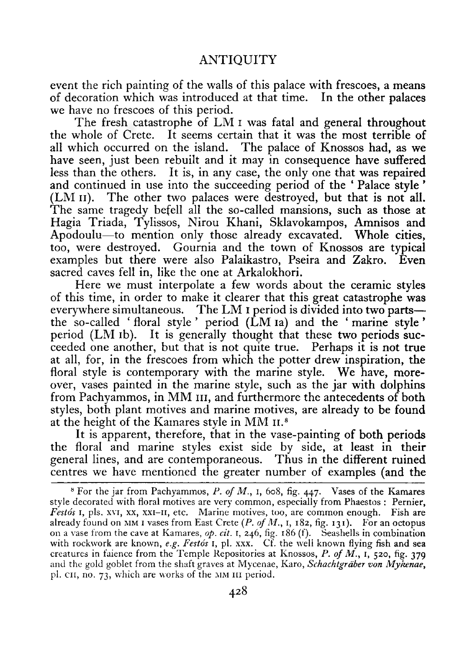event the rich painting of the walls of this palace with frescoes, a means of decoration which was introduced at that time. In the other palaces we have no frescoes of this period.

The fresh catastrophe of LM i was fatal and general throughout the whole of Crete. It seems certain that it was the most terrible of all which occurred on the island. The palace of Knossos had, as we have seen, just been rebuilt and it may in consequence have suffered less than the others. It is, in any case, the only one that was repaired and continued in use into the succeeding period of the ' Palace style ' (LM n). The other two palaces were destroyed, but that is not all. The same tragedy befell all the so-called mansions, such as those at Hagia Triada, Tylissos, Nirou Khani, Sklavokampos, Amnisos and Apodoulu— to mention only those already excavated. Whole cities, too, were destroyed. Gournia and the town of Knossos are typical examples but there were also Palaikastro, Pseira and Zakro. Even sacred caves fell in, like the one at Arkalokhori.

Here we must interpolate a few words about the ceramic styles of this time, in order to make it clearer that this great catastrophe was everywhere simultaneous. The LM **I** period is divided into two parts the so-called 'floral style' period (LM Ia) and the 'marine style' period (LM ib). It is generally thought that these two periods succeeded one another, but that is not quite true. Perhaps it is not true at all, for, in the frescoes from which the potter drew inspiration, the floral style is contemporary with the marine style. We have, moreover, vases painted in the marine style, such as the jar with dolphins from Pachyammos, in MM III, and furthermore the antecedents of both styles, both plant motives and marine motives, are already to be found at the height of the Kamares style in MM  $\text{II}.^8$ 

It is apparent, therefore, that in the vase-painting of both periods the floral and marine styles exist side by side, at least in their general lines, and are contemporaneous. Thus in the different ruined centres we have mentioned the greater number of examples (and the

<sup>8</sup> For the jar from Pachyammos, *P. of Μ.,* I, 608, fig. 447. Vases of the Kamares style decorated with floral motives are very common, especially from Phaestos : Pernier, *Festós* I, pls. xvI, xx, xxI-II, etc. Marine motives, too, are common enough. Fish are already found on MM I vases from East Crete  $(P, of M, I, 182, fig. 131)$ . For an octopus on a vase from the cave at Kamares, *op. cit.* I, 246, fig. 186 (f). Seashells in combination with rockwork are known, *e.g. Festôs* I, pi. xxx. Cf. the well known flying fish and sea creatures in faience from the Temple Repositories at Knossos, *P. of M.,* 1, 520, fig. 379 and the gold goblet from the shaft graves at Mycenae, Karo, *Schachtgräber von Mykenae,* pl. CII, no. 73, which are works of the MM III period.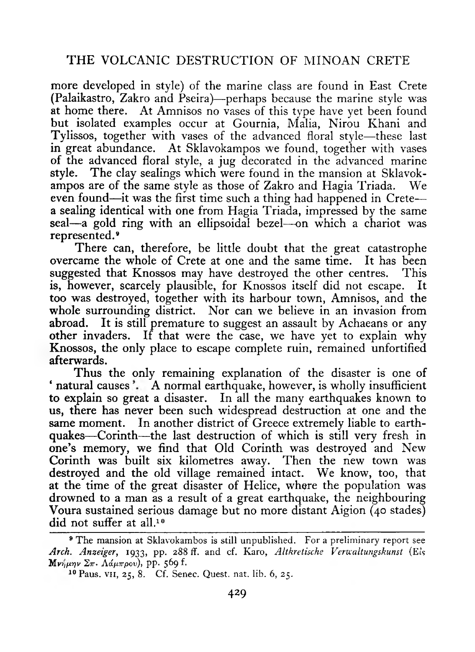more developed in style) of the marine class are found in East Crete (Palaikastro, Zakro and Pseira)— perhaps because the marine style was at home there. At Amnisos no vases of this type have yet been found but isolated examples occur at Gournia, Malia, Nirou Khani and Tylissos, together with vases of the advanced floral style— these last in great abundance. At Sklavokampos we found, together with vases of the advanced floral style, a jug decorated in the advanced marine style. The clay sealings which were found in the mansion at Sklavokampos are of the same style as those of Zakro and Hagia Triada. We even found— it was the first time such a thing had happened in Crete a sealing identical with one from Hagia Triada, impressed by the same seal—a gold ring with an ellipsoidal bezel—on which a chariot was represented.<sup>9</sup>

There can, therefore, be little doubt that the great catastrophe overcame the whole of Crete at one and the same time. It has been suggested that Knossos may have destroyed the other centres. This is, however, scarcely plausible, for Knossos itself did not escape. It too was destroyed, together with its harbour town, Amnisos, and the whole surrounding district. Nor can we believe in an invasion from abroad. It is still premature to suggest an assault by Achaeans or any other invaders. If that were the case, we have yet to explain why Knossos, the only place to escape complete ruin, remained unfortified afterwards.

Thus the only remaining explanation of the disaster is one of ' natural causes'. A normal earthquake, however, is wholly insufficient to explain so great a disaster. In all the many earthquakes known to us, there has never been such widespread destruction at one and the same moment. In another district of Greece extremely liable to earthquakes— Corinth— the last destruction of which is still very fresh in one's memory, we find that Old Corinth was destroyed and New Corinth was built six kilometres away. Then the new town was destroyed and the old village remained intact. We know, too, that at the time of the great disaster of Helice, where the population was drowned to a man as a result of a great earthquake, the neighbouring Voura sustained serious damage but no more distant Aigion (40 stades) did not suffer at all. $10$ 

<sup>9</sup> The mansion at Sklavokambos is still unpublished. For a preliminary report see *Arch. Anzeiger,* 1933, pp. 288 ff. and cf. Karo, *Altkretische Veru'altungskunst* (Eîç  $M$ νήμην  $\Sigma$ π· Λάμπρου), pp. 569 f.

<sup>10</sup> Paus, vu, 25, 8. Cf. Senec. Quest, nat. lib. 6, 25.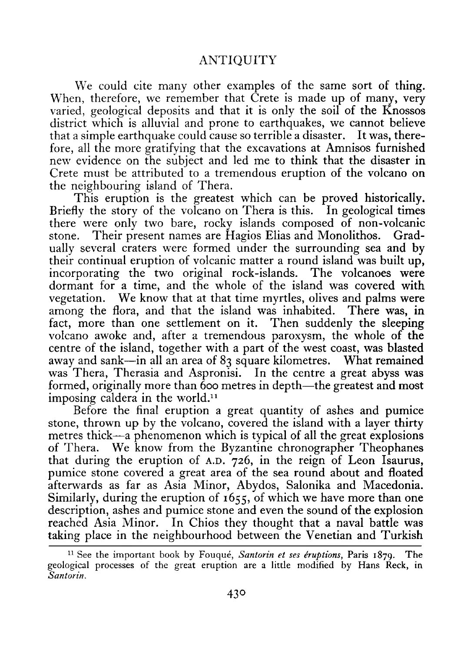We could cite many other examples of the same sort of thing. When, therefore, we remember that Crete is made up of many, very varied, geological deposits and that it is only the soil of the Knossos district which is alluvial and prone to earthquakes, we cannot believe that a simple earthquake could cause so terrible a disaster. It was, therefore, all the more gratifying that the excavations at Amnisos furnished new evidence on the subject and led me to think that the disaster in Crete must be attributed to a tremendous eruption of the volcano on the neighbouring island of Thera.

This eruption is the greatest which can be proved historically. Briefly the story of the volcano on Thera is this. In geological times there were only two bare, rocky islands composed of non-volcanic stone. Their present names are Hagios Elias and Monolithos. Gradually several craters were formed under the surrounding sea and by their continual eruption of volcanic matter a round island was built up, incorporating the two original rock-islands. The volcanoes were dormant for a time, and the whole of the island was covered with vegetation. We know that at that time myrtles, olives and palms were among the flora, and that the island was inhabited. There was, in fact, more than one settlement on it. Then suddenly the sleeping volcano awoke and, after a tremendous paroxysm, the whole of the centre of the island, together with a part of the west coast, was blasted away and sank—in all an area of 83 square kilometres. What remained was Thera, Therasia and Aspronisi. In the centre a great abyss was formed, originally more than 600 metres in depth— the greatest and most imposing caldera in the world.11

Before the final eruption a great quantity of ashes and pumice stone, thrown up by the volcano, covered the island with a layer thirty metres thick—a phenomenon which is typical of all the great explosions of Thera. We know from the Byzantine chronographer Theophanes that during the eruption of A.D. 726, in the reign of Leon Isaurus, pumice stone covered a great area of the sea round about and floated afterwards as far as Asia Minor, Abydos, Salonika and Macedonia. Similarly, during the eruption of 1655, of which we have more than one description, ashes and pumice stone and even the sound of the explosion reached Asia Minor. In Chios they thought that a naval battle was taking place in the neighbourhood between the Venetian and Turkish

<sup>&</sup>lt;sup>11</sup> See the important book by Fouqué, *Santorin et ses éruptions*, Paris 1879. The geological processes of the great eruption are a little modified by Hans Reck, in *Santorin.*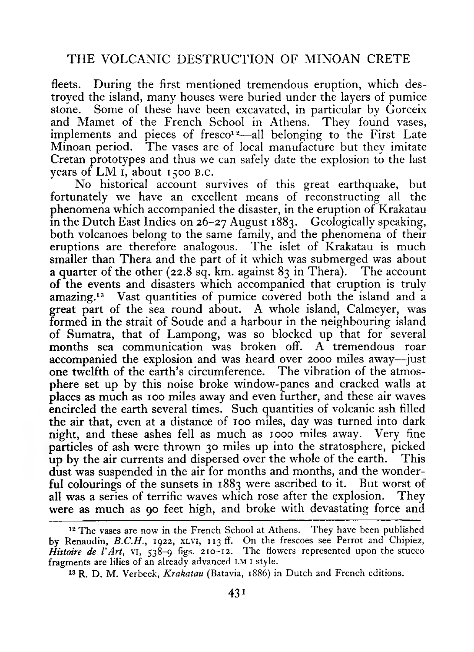fleets. During the first mentioned tremendous eruption, which destroyed the island, many houses were buried under the layers of pumice stone. Some of these have been excavated, in particular by Gorceix and Mamet of the French School in Athens. They found vases, implements and pieces of fresco<sup>12</sup>—all belonging to the First Late Minoan period. The vases are of local manufacture but they imitate Cretan prototypes and thus we can safely date the explosion to the last years of LM **I,** about 1500 B.c.

No historical account survives of this great earthquake, but fortunately we have an excellent means of reconstructing all the phenomena which accompanied the disaster, in the eruption of Krakatau in the Dutch East Indies on 26-27 August 1883. Geologically speaking, both volcanoes belong to the same family, and the phenomena of their eruptions are therefore analogous. The islet of Krakatau is much smaller than Thera and the part of it which was submerged was about a quarter of the other (22.8 sq. km. against  $8<sub>3</sub>$  in Thera). The account of the events and disasters which accompanied that eruption is truly amazing.13 Vast quantities of pumice covered both the island and a great part of the sea round about. A whole island, Calmeyer, was formed in the strait of Soude and a harbour in the neighbouring island of Sumatra, that of Lampong, was so blocked up that for several months sea communication was broken off. A tremendous roar accompanied the explosion and was heard over 2000 miles away—just one twelfth of the earth's circumference. The vibration of the atmosphere set up by this noise broke window-panes and cracked walls at places as much as 100 miles away and even further, and these air waves encircled the earth several times. Such quantities of volcanic ash filled the air that, even at a distance of 100 miles, day was turned into dark night, and these ashes fell as much as 1000 miles away. Very fine particles of ash were thrown 30 miles up into the stratosphere, picked up by the air currents and dispersed over the whole of the earth. This dust was suspended in the air for months and months, and the wonderful colourings of the sunsets in 1883 were ascribed to it. But worst of all was a series of terrific waves which rose after the explosion. They were as much as 90 feet high, and broke with devastating force and

<sup>&</sup>lt;sup>12</sup> The vases are now in the French School at Athens. They have been published by Renaudin, *B.C.H.,* 1922, xlvi, 113 ff. On the frescoes see Perrot and Chipiez, Histoire de l'Art, v1, 538-9 figs. 210-12. The flowers represented upon the stucco fragments are lilies of an already advanced lm i style.

<sup>13</sup> R. D. M. Verbeek, *Krakatau* (Batavia, 1886) in Dutch and French editions.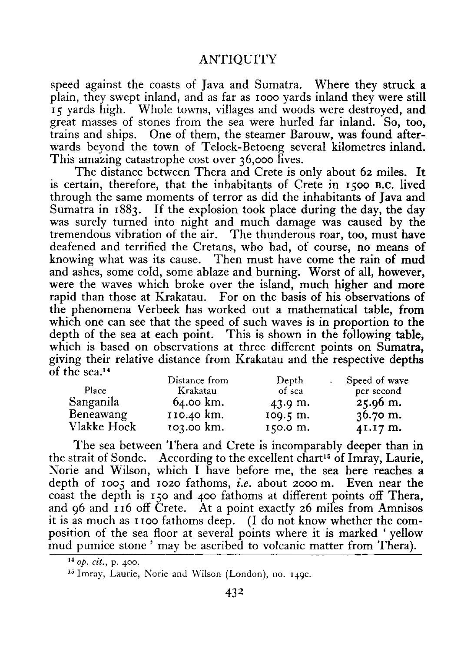speed against the coasts of Java and Sumatra. Where they struck a plain, they swept inland, and as far as 1000 yards inland they were still 15 yards high. Whole towns, villages and woods were destroyed, and great masses of stones from the sea were hurled far inland. So, too, trains and ships. One of them, the steamer Barouw, was found afterwards beyond the town of Teloek-Betoeng several kilometres inland. This amazing catastrophe cost over 36,000 lives.

The distance between Thera and Crete is only about 62 miles. It is certain, therefore, that the inhabitants of Crete in 1500 B.C. lived through the same moments of terror as did the inhabitants of Java and Sumatra in 1883. If the explosion took place during the day, the day was surely turned into night and much damage was caused by the tremendous vibration of the air. The thunderous roar, too, must have deafened and terrified the Cretans, who had, of course, no means of knowing what was its cause. Then must have come the rain of mud and ashes, some cold, some ablaze and burning. Worst of all, however, were the waves which broke over the island, much higher and more rapid than those at Krakatau. For on the basis of his observations of the phenomena Verbeek has worked out a mathematical table, from which one can see that the speed of such waves is in proportion to the depth of the sea at each point. This is shown in the following table, which is based on observations at three different points on Sumatra, giving their relative distance from Krakatau and the respective depths of the sea.14

|             | Distance from | Depth        | Speed of wave |
|-------------|---------------|--------------|---------------|
| Place       | Krakatau      | of sea       | per second    |
| Sanganila   | 64.00 km.     | $43.9 \; m.$ | $25.96$ m.    |
| Beneawang   | 110.40 km.    | 109.5 m.     | $36.70$ m.    |
| Vlakke Hoek | 103.00 km.    | 150.0 m.     | 41.17 m.      |

The sea between Thera and Crete is incomparably deeper than in the strait of Sonde. According to the excellent chart<sup>15</sup> of Imray, Laurie, Norie and Wilson, which I have before me, the sea here reaches a depth of 1005 and 1020 fathoms, *i.e.* about 2000 m. Even near the coast the depth is 150 and 400 fathoms at different points off Thera, and 96 and 116 off Crete. At a point exactly 26 miles from Amnisos it is as much as 1100 fathoms deep. (I do not know whether the composition of the sea floor at several points where it is marked ' yellow mud pumice stone ' may be ascribed to volcanic matter from Thera).

<sup>14</sup> *op. cit.,* p. 400.

<sup>15</sup> Imray, Laurie, Norie and Wilson (London), no. 149c.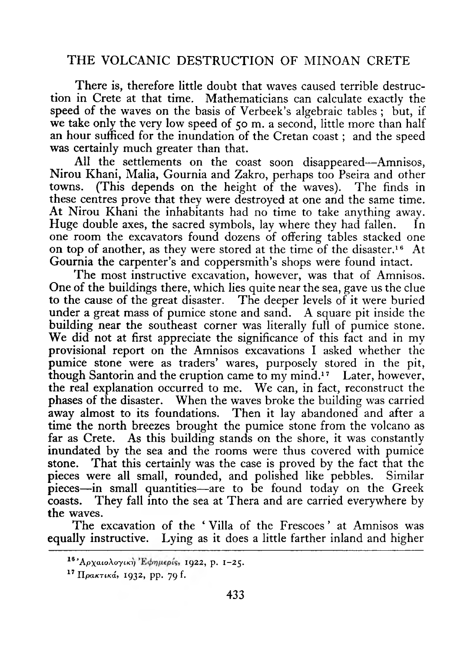There is, therefore little doubt that waves caused terrible destruction in Crete at that time. Mathematicians can calculate exactly the speed of the waves on the basis of Verbeek's algebraic tables ; but, if we take only the very low speed of 50 m. a second, little more than half an hour sufficed for the inundation of the Cretan coast ; and the speed was certainly much greater than that.

All the settlements on the coast soon disappeared— Amnisos, Nirou Khani, Malia, Gournia and Zakro, perhaps too Pseira and other towns. (This depends on the height of the waves). The finds in these centres prove that they were destroyed at one and the same time. At Nirou Khani the inhabitants had no time to take anything away. Huge double axes, the sacred symbols, lay where they had fallen. In one room the excavators found dozens of offering tables stacked one on top of another, as they were stored at the time of the disaster.<sup>16</sup> At Gournia the carpenter's and coppersmith's shops were found intact.

The most instructive excavation, however, was that of Amnisos. One of the buildings there, which lies quite near the sea, gave us the clue to the cause of the great disaster. The deeper levels of it were buried under a great mass of pumice stone and sand. A square pit inside the building near the southeast corner was literally full of pumice stone. We did not at first appreciate the significance of this fact and in my provisional report on the Amnisos excavations I asked whether the pumice stone were as traders' wares, purposely stored in the pit, though Santorin and the eruption came to my mind.17 Later, however, the real explanation occurred to me. We can, in fact, reconstruct the phases of the disaster. When the waves broke the building was carried away almost to its foundations. Then it lay abandoned and after a time the north breezes brought the pumice stone from the volcano as far as Crete. As this building stands on the shore, it was constantly inundated by the sea and the rooms were thus covered with pumice stone. That this certainly was the case is proved by the fact that the pieces were all small, rounded, and polished like pebbles. Similar pieces— in small quantities— are to be found today on the Greek coasts. They fall into the sea at Thera and are carried everywhere by the waves.

The excavation of the ' Villa of the Frescoes ' at Amnisos was equally instructive. Lying as it does a little farther inland and higher

<sup>1&</sup>lt;sup>6</sup>'Αρχαιολογική Έφημερίς, 1922, p. 1-25.

<sup>17</sup> Πρακτικά, 1932, pp. 79 f.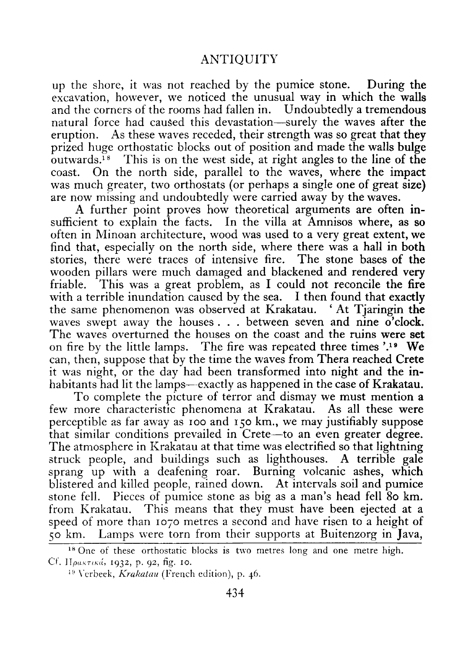up the shore, it was not reached by the pumice stone. During the excavation, however, we noticed the unusual way in which the walls and the corners of the rooms had fallen in. Undoubtedly a tremendous natural force had caused this devastation—surely the waves after the eruption. As these waves receded, their strength was so great that they prized huge orthostatic blocks out of position and made the walls bulge outwards.18 This is on the west side, at right angles to the line of the coast. On the north side, parallel to the waves, where the impact was much greater, two orthostats (or perhaps a single one of great size) are now missing and undoubtedly were carried away by the waves.

A further point proves how theoretical arguments are often insufficient to explain the facts. In the villa at Amnisos where, as so often in Minoan architecture, wood was used to a very great extent, we find that, especially on the north side, where there was a hall in both stories, there were traces of intensive fire. The stone bases of the wooden pillars were much damaged and blackened and rendered very friable. This was a great problem, as I could not reconcile the fire with a terrible inundation caused by the sea. I then found that exactly the same phenomenon was observed at Krakatau. ' At Tjaringin the waves swept away the houses . . . between seven and nine o'clock. The waves overturned the houses on the coast and the ruins were set on fire by the little lamps. The fire was repeated three times '.<sup>19</sup> We can, then, suppose that by the time the waves from Thera reached Crete it was night, or the day had been transformed into night and the inhabitants had lit the lamps— exactly as happened in the case of Krakatau.

To complete the picture of terror and dismay we must mention a few more characteristic phenomena at Krakatau. As all these were perceptible as far away as ioo and 150 km., we may justifiably suppose that similar conditions prevailed in Crete— to an even greater degree. The atmosphere in Krakatau at that time was electrified so that lightning struck people, and buildings such as lighthouses. A terrible gale sprang up with a deafening roar. Burning volcanic ashes, which blistered and killed people, rained down. At intervals soil and pumice stone fell. Pieces of pumice stone as big as a man's head fell 80 km. from Krakatau. This means that they must have been ejected at a speed of more than 1070 metres a second and have risen to a height of 50 km. Lamps were torn from their supports at Buitenzorg in Iava. Lamps were torn from their supports at Buitenzorg in Java,

<sup>&</sup>lt;sup>18</sup> One of these orthostatic blocks is two metres long and one metre high. Cf. *Πρακτικά,* 1932, p. 92, fig. 10.

<sup>&</sup>lt;sup>19</sup> Verbeek, *Krakatau* (French edition), p. 46.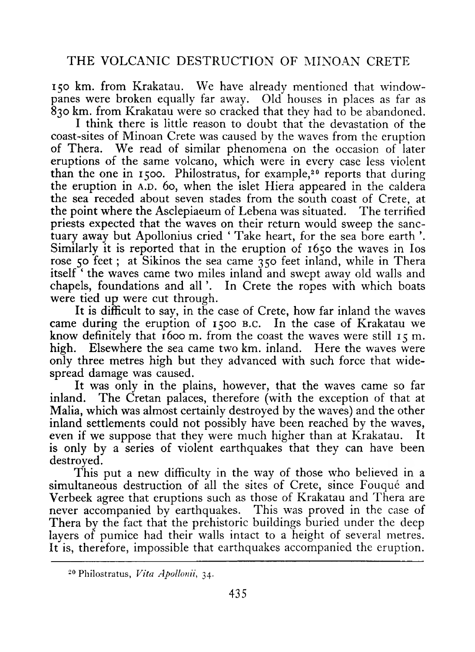150 km. from Krakatau. We have already mentioned that windowpanes were broken equally far away. Old houses in places as far as 830 km. from Krakatau were so cracked that they had to be abandoned.

I think there is little reason to doubt that the devastation of the coast-sites of Minoan Crete was caused by the waves from the eruption of Thera. We read of similar phenomena on the occasion of later eruptions of the same volcano, which were in every case less violent than the one in 1500. Philostratus, for example,<sup>20</sup> reports that during the eruption in **<sup>a</sup> .<sup>d</sup> .** 60, when the islet Hiera appeared in the caldera the sea receded about seven stades from the south coast of Crete, at the point where the Asclepiaeum of Lebena was situated. The terrified priests expected that the waves on their return would sweep the sanctuary away but Apollonius cried 'Take heart, for the sea bore earth'. Similarly it is reported that in the eruption of 1650 the waves in Ios rose 50 feet; at Sikinos the sea came  $350$  feet inland, while in Thera itself ' the waves came two miles inland and swept away old walls and chapels, foundations and all '. In Crete the ropes with which boats were tied up were cut through.

It is difficult to say, in the case of Crete, how far inland the waves came during the eruption of 1500 B.C. In the case of Krakatau we know definitely that 1600 m. from the coast the waves were still 15 m. high. Elsewhere the sea came two km. inland. Here the waves were only three metres high but they advanced with such force that widespread damage was caused.

It was only in the plains, however, that the waves came so far inland. The Cretan palaces, therefore (with the exception of that at Malia, which was almost certainly destroyed by the waves) and the other inland settlements could not possibly have been reached by the waves, even if we suppose that they were much higher than at Krakatau. It is only by a series of violent earthquakes that they can have been destroyed.

This put a new difficulty in the way of those who believed in a simultaneous destruction of all the sites of Crete, since Fouque and Verbeek agree that eruptions such as those of Krakatau and Thera are never accompanied by earthquakes. This was proved in the case of Thera by the fact that the prehistoric buildings buried under the deep layers of pumice had their walls intact to a height of several metres. It is, therefore, impossible that earthquakes accompanied the eruption.

<sup>&</sup>lt;sup>20</sup> Philostratus, *Vita Apollonii*, 34.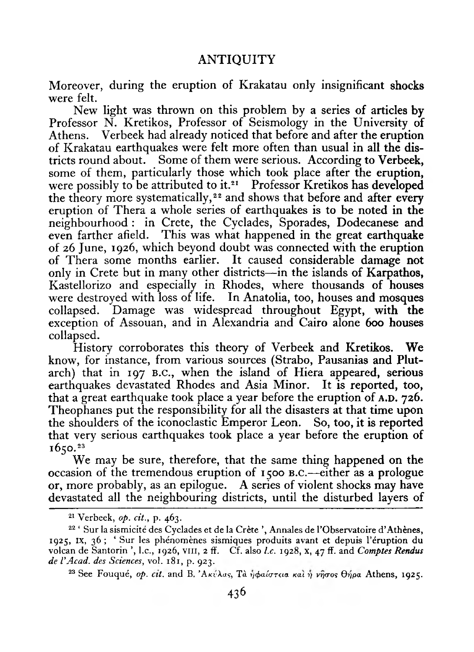Moreover, during the eruption of Krakatau only insignificant shocks were felt.

New light was thrown on this problem by a series of articles by Professor N. Kretikos, Professor of Seismology in the University of Athens. Verbeek had already noticed that before and after the eruption of Krakatau earthquakes were felt more often than usual in all the districts round about. Some of them were serious. According to Verbeek, some of them, particularly those which took place after the eruption, were possibly to be attributed to it.<sup>21</sup> Professor Kretikos has developed the theory more systematically,<sup>22</sup> and shows that before and after every eruption of Thera a whole series of earthquakes is to be noted in the neighbourhood : in Crete, the Cyclades, Sporades, Dodecanese and even farther afield. This was what happened in the great earthquake of 26 June, 1926, which beyond doubt was connected with the eruption of Thera some months earlier. It caused considerable damage not only in Crete but in many other districts— in the islands of Karpathos, Kastellorizo and especially in Rhodes, where thousands of houses were destroyed with loss of life. In Anatolia, too, houses and mosques collapsed. Damage was widespread throughout Egypt, with the exception of Assouan, and in Alexandria and Cairo alone 600 houses collapsed.

History corroborates this theory of Verbeek and Kretikos. We know, for instance, from various sources (Strabo, Pausanias and Plutarch) that in 197 **B.C.,** when the island of Hiera appeared, serious earthquakes devastated Rhodes and Asia Minor. It is reported, too, that a great earthquake took place a year before the eruption of  $A.D. 726$ . Theophanes put the responsibility for all the disasters at that time upon the shoulders of the iconoclastic Emperor Leon. So, too, it is reported that very serious earthquakes took place a year before the eruption of  $1650.<sup>23</sup>$ 

We may be sure, therefore, that the same thing happened on the occasion of the tremendous eruption of 1500 **B.C.**— either as **a** prologue or, more probably, as an epilogue. A series of violent shocks may have devastated all the neighbouring districts, until the disturbed layers of

23 See Fouqué, *op. C lt.* and **B.** *ΆκνΧας,* Τά *ηφαίστα*α **και** *η νήσος Θήρα* Athens, 1925·

<sup>21</sup> Verbeek, *op. cit.,* p. 463.

<sup>22 &#</sup>x27; Sur la sismicité des Cyclades et de la Crète ', Annales de l'Observatoire d'Athènes, 1925, ix, 36 ; ' Sur les phénomènes sismiques produits avant et depuis l'éruption du volcan de Santorin ', l.c., 1926, vin, 2 ff. Cf. also *l.c.* 1928, x, 47 ff. and *Comptes Rendus de VAcad. des Sciences*, vol. 181, p. 923.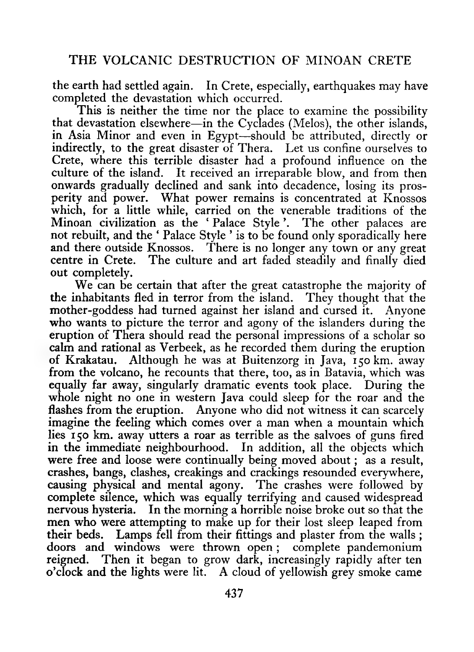the earth had settled again. In Crete, especially, earthquakes may have completed the devastation which occurred.

This is neither the time nor the place to examine the possibility that devastation elsewhere— in the Cyclades (Melos), the other islands, in Asia Minor and even in Egypt— should be attributed, directly or indirectly, to the great disaster of Thera. Let us confine ourselves to Crete, where this terrible disaster had a profound influence on the culture of the island. It received an irreparable blow, and from then onwards gradually declined and sank into decadence, losing its prosperity and power. What power remains is concentrated at Knossos which, for a little while, carried on the venerable traditions of the Minoan civilization as the ' Palace Style '. The other palaces are not rebuilt, and the ' Palace Style ' is to be found only sporadically here and there outside Knossos. There is no longer any town or any great centre in Crete. The culture and art faded steadily and finally died out completely.

We can be certain that after the great catastrophe the majority of the inhabitants fled in terror from the island. They thought that the mother-goddess had turned against her island and cursed it. Anyone who wants to picture the terror and agony of the islanders during the eruption of Thera should read the personal impressions of a scholar so calm and rational as Verbeek, as he recorded them during the eruption of Krakatau. Although he was at Buitenzorg in Java, 150 km. away from the volcano, he recounts that there, too, as in Batavia, which was equally far away, singularly dramatic events took place. During the whole night no one in western Java could sleep for the roar and the flashes from the eruption. Anyone who did not witness it can scarcely imagine the feeling which comes over a man when a mountain which lies 150 km. away utters a roar as terrible as the salvoes of guns fired in the immediate neighbourhood. In addition, all the objects which were free and loose were continually being moved about; as a result, crashes, bangs, clashes, creakings and crackings resounded everywhere, causing physical and mental agony. The crashes were followed by complete silence, which was equally terrifying and caused widespread nervous hysteria. In the morning a horrible noise broke out so that the men who were attempting to make up for their lost sleep leaped from their beds. Lamps fell from their fittings and plaster from the walls ; doors and windows were thrown open ; complete pandemonium reigned. Then it began to grow dark, increasingly rapidly after ten o'clock and the lights were lit. A cloud of yellowish grey smoke came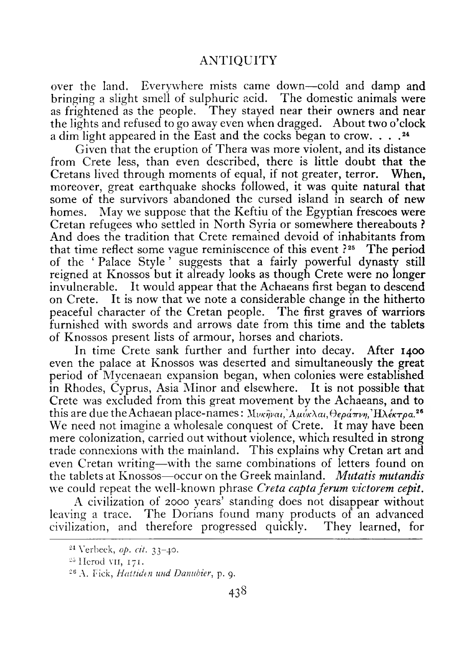over the land. Everywhere mists came down— cold and damp and bringing a slight smell of sulphuric acid. The domestic animals were as frightened as the people. They stayed near their owners and near the lights and refused to go away even when dragged. About two o'clock a dim light appeared in the East and the cocks began to crow.  $\ldots$ .<sup>24</sup>

Given that the eruption of Thera was more violent, and its distance from Crete less, than even described, there is little doubt that the Cretans lived through moments of equal, if not greater, terror. When, moreover, great earthquake shocks followed, it was quite natural that some of the survivors abandoned the cursed island in search of new homes. May we suppose that the Keftiu of the Egyptian frescoes were Cretan refugees who settled in North Syria or somewhere thereabouts ? And does the tradition that Crete remained devoid of inhabitants from that time reflect some vague reminiscence of this event  $?25$  The period of the ' Palace Style ' suggests that a fairly powerful dynasty still reigned at Knossos but it already looks as though Crete were no longer invulnerable. It would appear that the Achaeans first began to descend on Crete. It is now that we note a considerable change in the hitherto peaceful character of the Cretan people. The first graves of warriors furnished with swords and arrows date from this time and the tablets of Knossos present lists of armour, horses and chariots.

In time Crete sank further and further into decay. After 1400 even the palace at Knossos was deserted and simultaneously the great period of Mycenaean expansion began, when colonies were established in Rhodes, Cyprus, Asia Minor and elsewhere. It is not possible that Crete was excluded from this great movement by the Achaeans, and to this are due the Achaean place-names : *Μνκηναι,'Αμνκλαι,θεράττνη,'Ηλεκτρα.26* We need not imagine a wholesale conquest of Crete. It may have been mere colonization, carried out without violence, which resulted in strong trade connexions with the mainland. This explains why Cretan art and even Cretan writing— with the same combinations of letters found on the tablets at Knossos— occur on the Greek mainland. *Mutatis mutandis* we could repeat the well-known phrase *Creta capta ferum victorem cepit.*

A civilization of 2000 years' standing does not disappear without leaving a trace. The Dorians found many products of an advanced civilization, and therefore progressed quickly. They learned, for

<sup>24</sup> Yerbeek, *op. cit.* 33-40.

<sup>25</sup> Herod vu, 171.

<sup>20</sup> A. Tick, *Hattidtn und Danubier*, p. 9.